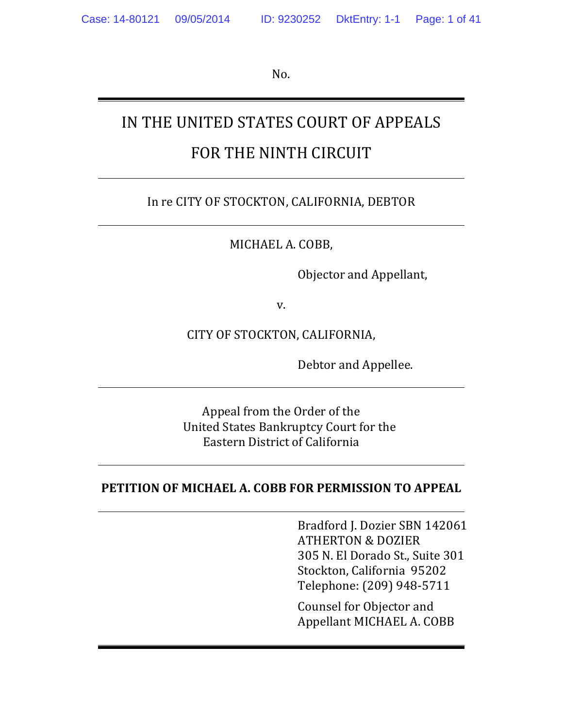No. 

# IN THE UNITED STATES COURT OF APPEALS FOR THE NINTH CIRCUIT

### In re CITY OF STOCKTON, CALIFORNIA, DEBTOR

MICHAEL A. COBB,

Objector and Appellant,

v.

CITY OF STOCKTON, CALIFORNIA,

Debtor and Appellee.

Appeal from the Order of the United States Bankruptcy Court for the Eastern District of California

#### **PETITION OF MICHAEL A. COBB FOR PERMISSION TO APPEAL**

Bradford J. Dozier SBN 142061 ATHERTON & DOZIER 305 N. El Dorado St., Suite 301 Stockton, California 95202 Telephone: (209) 948-5711

Counsel for Objector and Appellant MICHAEL A. COBB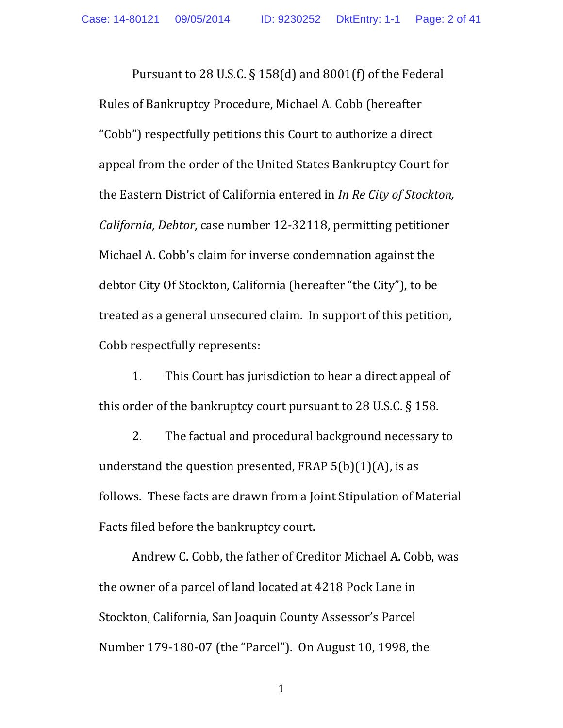Pursuant to 28 U.S.C.  $\S$  158(d) and 8001(f) of the Federal Rules of Bankruptcy Procedure, Michael A. Cobb (hereafter "Cobb") respectfully petitions this Court to authorize a direct appeal from the order of the United States Bankruptcy Court for the Eastern District of California entered in *In Re City of Stockton*, *California, Debtor, case number 12-32118, permitting petitioner* Michael A. Cobb's claim for inverse condemnation against the debtor City Of Stockton, California (hereafter "the City"), to be treated as a general unsecured claim. In support of this petition, Cobb respectfully represents:

1. This Court has jurisdiction to hear a direct appeal of this order of the bankruptcy court pursuant to  $28$  U.S.C.  $\S$  158.

2. The factual and procedural background necessary to understand the question presented, FRAP  $5(b)(1)(A)$ , is as follows. These facts are drawn from a Joint Stipulation of Material Facts filed before the bankruptcy court.

Andrew C. Cobb, the father of Creditor Michael A. Cobb, was the owner of a parcel of land located at 4218 Pock Lane in Stockton, California, San Joaquin County Assessor's Parcel Number 179-180-07 (the "Parcel"). On August 10, 1998, the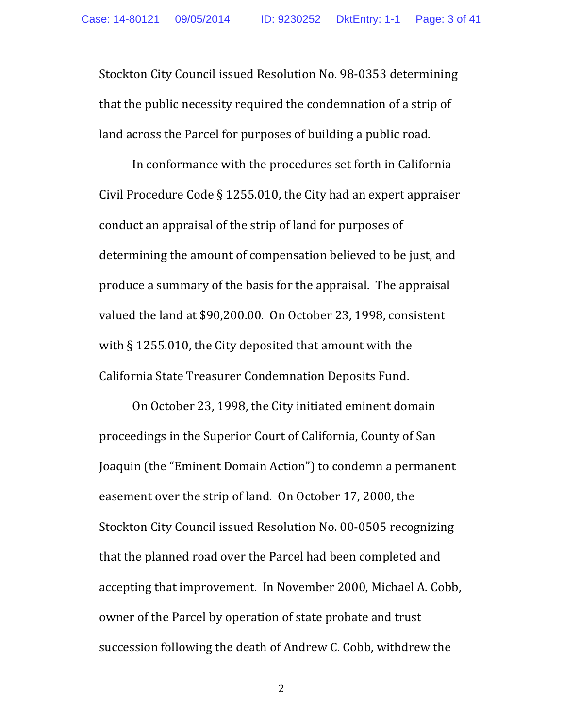Stockton City Council issued Resolution No. 98-0353 determining that the public necessity required the condemnation of a strip of land across the Parcel for purposes of building a public road.

In conformance with the procedures set forth in California Civil Procedure Code  $\S$  1255.010, the City had an expert appraiser conduct an appraisal of the strip of land for purposes of determining the amount of compensation believed to be just, and produce a summary of the basis for the appraisal. The appraisal valued the land at \$90,200.00. On October 23, 1998, consistent with  $\S$  1255.010, the City deposited that amount with the California State Treasurer Condemnation Deposits Fund.

On October 23, 1998, the City initiated eminent domain proceedings in the Superior Court of California, County of San Joaquin (the "Eminent Domain Action") to condemn a permanent easement over the strip of land. On October 17, 2000, the Stockton City Council issued Resolution No. 00-0505 recognizing that the planned road over the Parcel had been completed and accepting that improvement. In November 2000, Michael A. Cobb, owner of the Parcel by operation of state probate and trust succession following the death of Andrew C. Cobb, withdrew the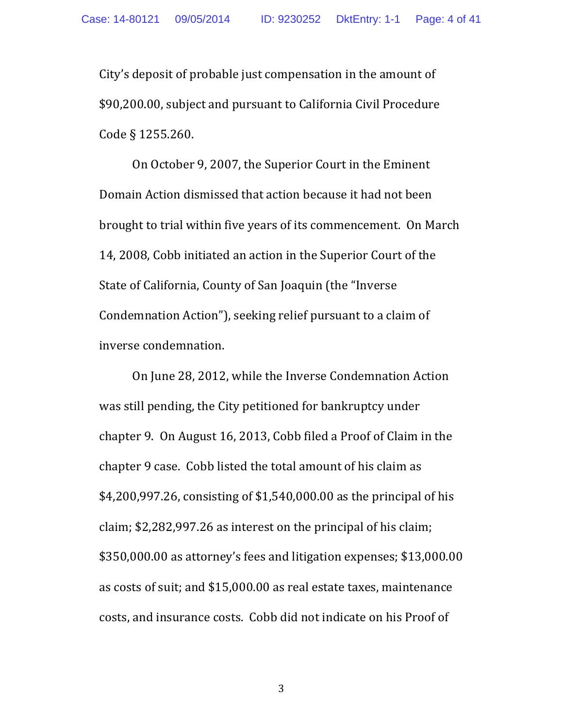City's deposit of probable just compensation in the amount of \$90,200.00, subject and pursuant to California Civil Procedure Code § 1255.260.

On October 9, 2007, the Superior Court in the Eminent Domain Action dismissed that action because it had not been brought to trial within five years of its commencement. On March 14, 2008, Cobb initiated an action in the Superior Court of the State of California, County of San Joaquin (the "Inverse" Condemnation Action"), seeking relief pursuant to a claim of inverse condemnation.

On June 28, 2012, while the Inverse Condemnation Action was still pending, the City petitioned for bankruptcy under chapter 9. On August 16, 2013, Cobb filed a Proof of Claim in the chapter 9 case. Cobb listed the total amount of his claim as  $$4,200,997.26$ , consisting of  $$1,540,000.00$  as the principal of his claim;  $$2,282,997.26$  as interest on the principal of his claim; \$350,000.00 as attorney's fees and litigation expenses; \$13,000.00 as costs of suit; and \$15,000.00 as real estate taxes, maintenance costs, and insurance costs. Cobb did not indicate on his Proof of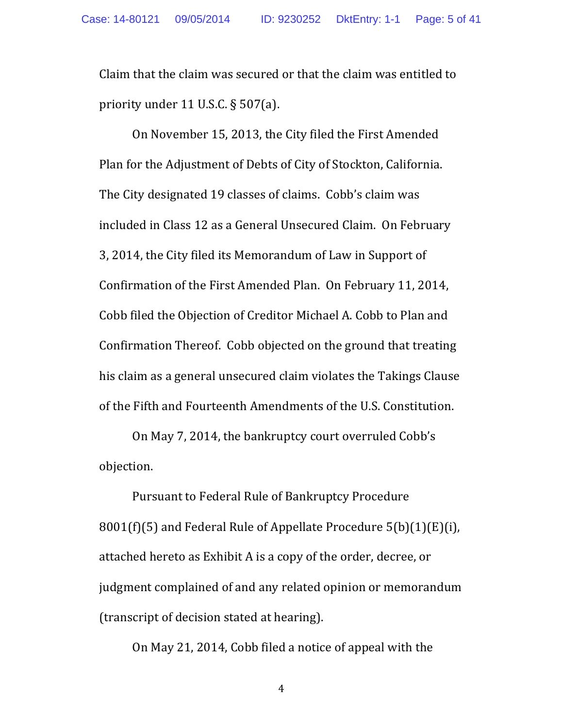Claim that the claim was secured or that the claim was entitled to priority under 11 U.S.C.  $\S 507(a)$ .

On November 15, 2013, the City filed the First Amended Plan for the Adjustment of Debts of City of Stockton, California. The City designated 19 classes of claims. Cobb's claim was included in Class 12 as a General Unsecured Claim. On February 3, 2014, the City filed its Memorandum of Law in Support of Confirmation of the First Amended Plan. On February 11, 2014, Cobb filed the Objection of Creditor Michael A. Cobb to Plan and Confirmation Thereof. Cobb objected on the ground that treating his claim as a general unsecured claim violates the Takings Clause of the Fifth and Fourteenth Amendments of the U.S. Constitution.

On May 7, 2014, the bankruptcy court overruled Cobb's objection.

Pursuant to Federal Rule of Bankruptcy Procedure  $8001(f)(5)$  and Federal Rule of Appellate Procedure  $5(b)(1)(E)(i)$ , attached hereto as Exhibit A is a copy of the order, decree, or judgment complained of and any related opinion or memorandum (transcript of decision stated at hearing).

On May 21, 2014, Cobb filed a notice of appeal with the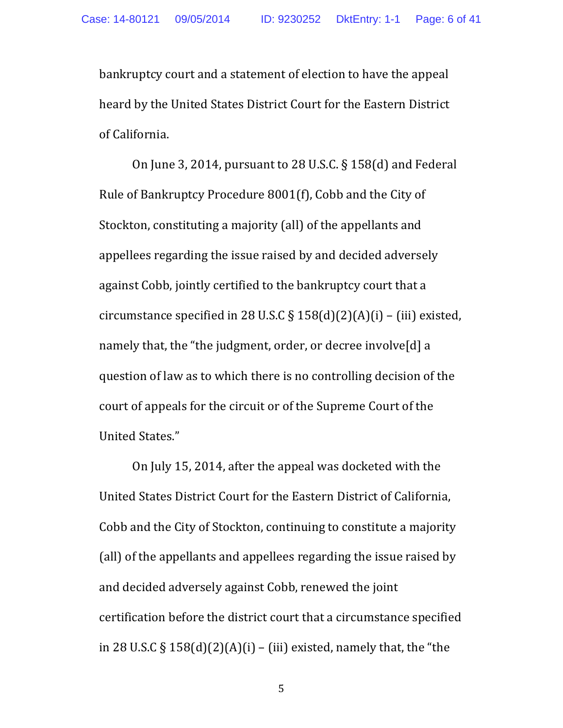bankruptcy court and a statement of election to have the appeal heard by the United States District Court for the Eastern District of California.

On June 3, 2014, pursuant to 28 U.S.C.  $\S$  158(d) and Federal Rule of Bankruptcy Procedure 8001(f), Cobb and the City of Stockton, constituting a majority (all) of the appellants and appellees regarding the issue raised by and decided adversely against Cobb, jointly certified to the bankruptcy court that a circumstance specified in 28 U.S.C  $\S$  158(d)(2)(A)(i) – (iii) existed, namely that, the "the judgment, order, or decree involve[d] a question of law as to which there is no controlling decision of the court of appeals for the circuit or of the Supreme Court of the United States."

On July 15, 2014, after the appeal was docketed with the United States District Court for the Eastern District of California, Cobb and the City of Stockton, continuing to constitute a majority (all) of the appellants and appellees regarding the issue raised by and decided adversely against Cobb, renewed the joint certification before the district court that a circumstance specified in 28 U.S.C  $\S$  158(d)(2)(A)(i) – (iii) existed, namely that, the "the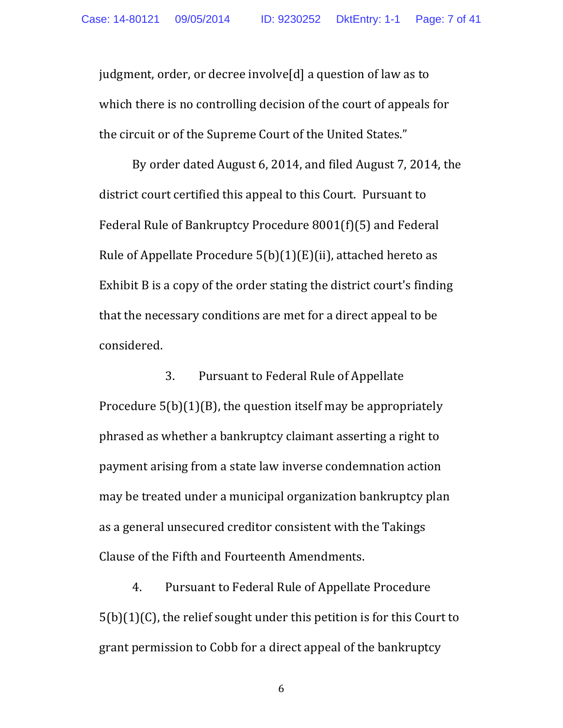judgment, order, or decree involve[d] a question of law as to which there is no controlling decision of the court of appeals for the circuit or of the Supreme Court of the United States."

By order dated August 6, 2014, and filed August 7, 2014, the district court certified this appeal to this Court. Pursuant to Federal Rule of Bankruptcy Procedure 8001(f)(5) and Federal Rule of Appellate Procedure  $5(b)(1)(E)(ii)$ , attached hereto as Exhibit  $\overline{B}$  is a copy of the order stating the district court's finding that the necessary conditions are met for a direct appeal to be considered.

3. Pursuant to Federal Rule of Appellate Procedure  $5(b)(1)(B)$ , the question itself may be appropriately phrased as whether a bankruptcy claimant asserting a right to payment arising from a state law inverse condemnation action may be treated under a municipal organization bankruptcy plan as a general unsecured creditor consistent with the Takings Clause of the Fifth and Fourteenth Amendments.

4. Pursuant to Federal Rule of Appellate Procedure  $5(b)(1)(C)$ , the relief sought under this petition is for this Court to grant permission to Cobb for a direct appeal of the bankruptcy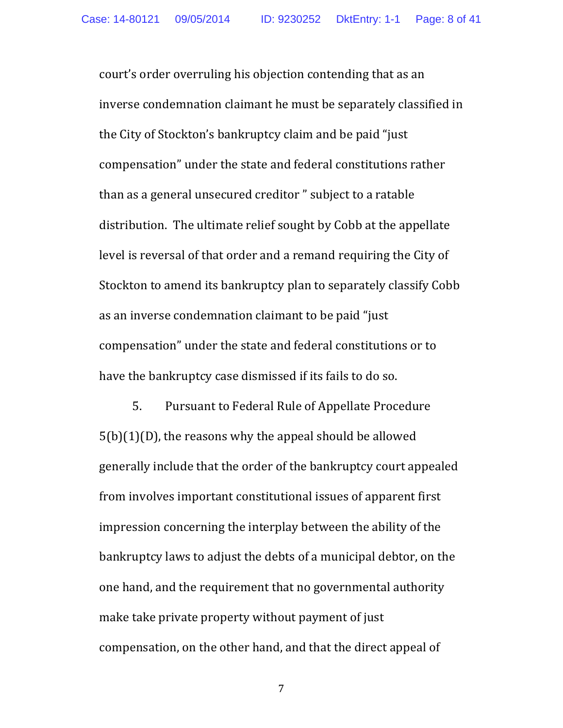court's order overruling his objection contending that as an inverse condemnation claimant he must be separately classified in the City of Stockton's bankruptcy claim and be paid "just" compensation" under the state and federal constitutions rather than as a general unsecured creditor " subject to a ratable distribution. The ultimate relief sought by Cobb at the appellate level is reversal of that order and a remand requiring the City of Stockton to amend its bankruptcy plan to separately classify Cobb as an inverse condemnation claimant to be paid "just" compensation" under the state and federal constitutions or to have the bankruptcy case dismissed if its fails to do so.

5. Pursuant to Federal Rule of Appellate Procedure  $5(b)(1)(D)$ , the reasons why the appeal should be allowed generally include that the order of the bankruptcy court appealed from involves important constitutional issues of apparent first impression concerning the interplay between the ability of the bankruptcy laws to adjust the debts of a municipal debtor, on the one hand, and the requirement that no governmental authority make take private property without payment of just compensation, on the other hand, and that the direct appeal of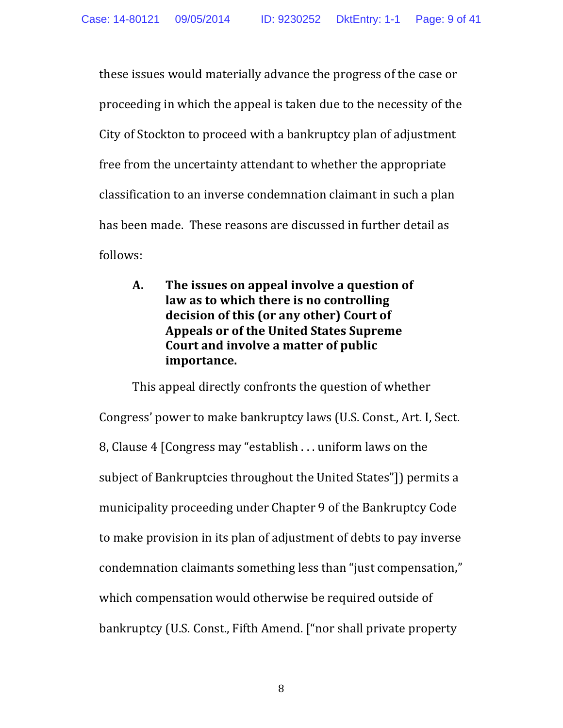these issues would materially advance the progress of the case or proceeding in which the appeal is taken due to the necessity of the City of Stockton to proceed with a bankruptcy plan of adjustment free from the uncertainty attendant to whether the appropriate classification to an inverse condemnation claimant in such a plan has been made. These reasons are discussed in further detail as follows:

A. The issues on appeal involve a question of law as to which there is no controlling decision of this (or any other) Court of **Appeals or of the United States Supreme Court and involve a matter of public importance.**

This appeal directly confronts the question of whether Congress' power to make bankruptcy laws (U.S. Const., Art. I, Sect. 8, Clause 4 [Congress may "establish . . . uniform laws on the subject of Bankruptcies throughout the United States"]) permits a municipality proceeding under Chapter 9 of the Bankruptcy Code to make provision in its plan of adjustment of debts to pay inverse condemnation claimants something less than "just compensation," which compensation would otherwise be required outside of bankruptcy (U.S. Const., Fifth Amend. ["nor shall private property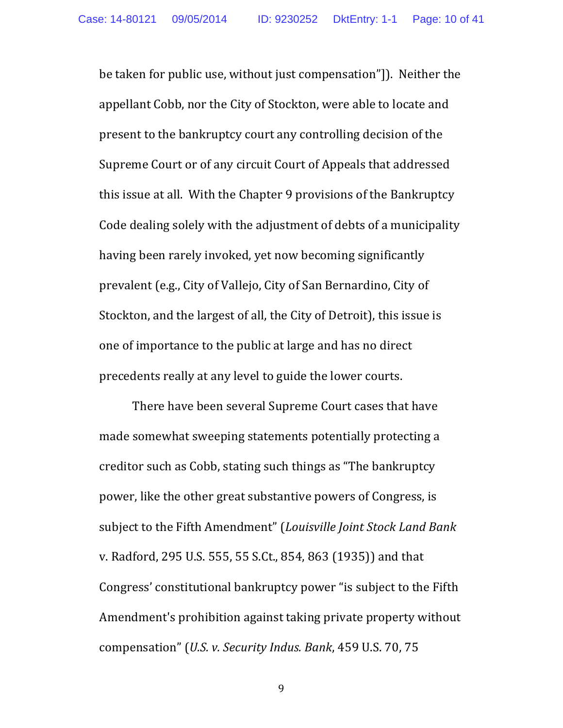be taken for public use, without just compensation"]). Neither the appellant Cobb, nor the City of Stockton, were able to locate and present to the bankruptcy court any controlling decision of the Supreme Court or of any circuit Court of Appeals that addressed this issue at all. With the Chapter 9 provisions of the Bankruptcy Code dealing solely with the adjustment of debts of a municipality having been rarely invoked, yet now becoming significantly prevalent (e.g., City of Vallejo, City of San Bernardino, City of Stockton, and the largest of all, the City of Detroit), this issue is one of importance to the public at large and has no direct precedents really at any level to guide the lower courts.

There have been several Supreme Court cases that have made somewhat sweeping statements potentially protecting a creditor such as Cobb, stating such things as "The bankruptcy" power, like the other great substantive powers of Congress, is subject to the Fifth Amendment" (*Louisville Joint Stock Land Bank* v. Radford, 295 U.S. 555, 55 S.Ct., 854, 863 (1935)) and that Congress' constitutional bankruptcy power "is subject to the Fifth Amendment's prohibition against taking private property without compensation" (*U.S. v. Security Indus. Bank*, 459 U.S. 70, 75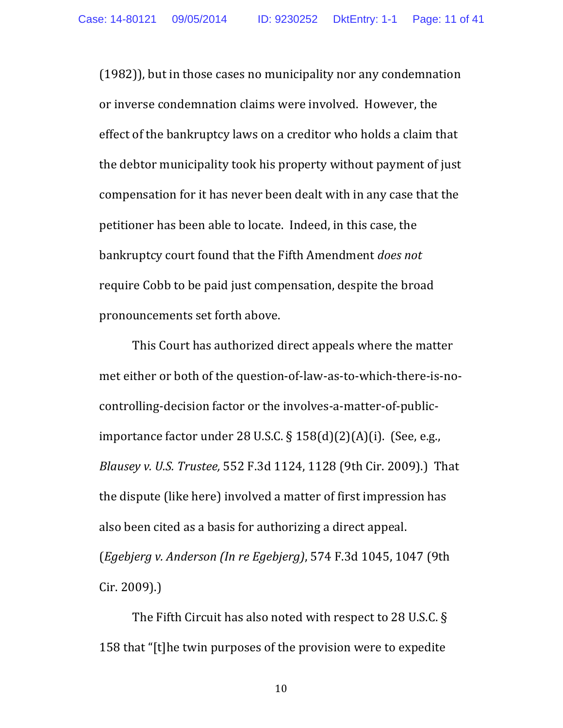$(1982)$ , but in those cases no municipality nor any condemnation or inverse condemnation claims were involved. However, the effect of the bankruptcy laws on a creditor who holds a claim that the debtor municipality took his property without payment of just compensation for it has never been dealt with in any case that the petitioner has been able to locate. Indeed, in this case, the bankruptcy court found that the Fifth Amendment *does not* require Cobb to be paid just compensation, despite the broad pronouncements set forth above.

This Court has authorized direct appeals where the matter met either or both of the question-of-law-as-to-which-there-is-nocontrolling-decision factor or the involves-a-matter-of-publicimportance factor under  $28$  U.S.C. §  $158(d)(2)(A)(i)$ . (See, e.g., *Blausey v. U.S. Trustee,* 552 F.3d 1124, 1128 (9th Cir. 2009).) That the dispute (like here) involved a matter of first impression has also been cited as a basis for authorizing a direct appeal. (*Egebjerg v. Anderson (In re Egebjerg)*, 574 F.3d 1045, 1047 (9th Cir. 2009).)

The Fifth Circuit has also noted with respect to 28 U.S.C.  $\S$ 158 that "[t]he twin purposes of the provision were to expedite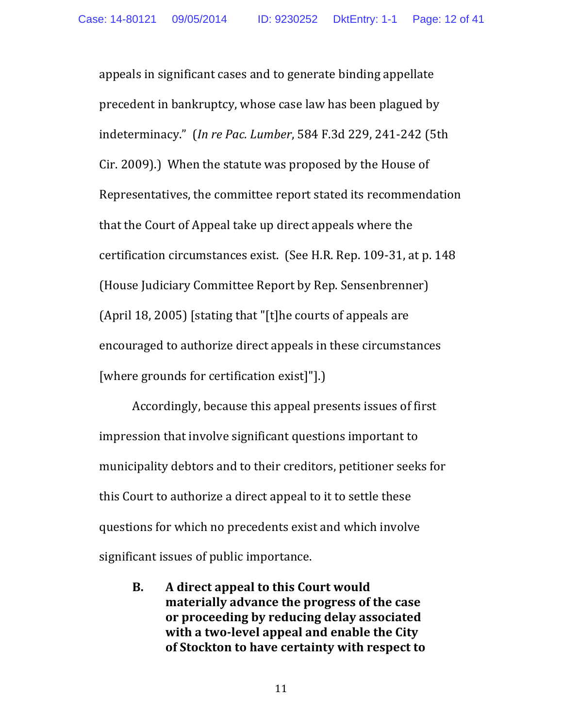appeals in significant cases and to generate binding appellate precedent in bankruptcy, whose case law has been plagued by indeterminacy." (*In re Pac. Lumber*, 584 F.3d 229, 241-242 (5th Cir. 2009).) When the statute was proposed by the House of Representatives, the committee report stated its recommendation that the Court of Appeal take up direct appeals where the certification circumstances exist. (See H.R. Rep. 109-31, at p. 148) (House Judiciary Committee Report by Rep. Sensenbrenner) (April 18, 2005) [stating that "[t]he courts of appeals are encouraged to authorize direct appeals in these circumstances [where grounds for certification exist]"].]

Accordingly, because this appeal presents issues of first impression that involve significant questions important to municipality debtors and to their creditors, petitioner seeks for this Court to authorize a direct appeal to it to settle these questions for which no precedents exist and which involve significant issues of public importance.

**B.** A direct appeal to this Court would **materially advance the progress of the case** or proceeding by reducing delay associated with a two-level appeal and enable the City of Stockton to have certainty with respect to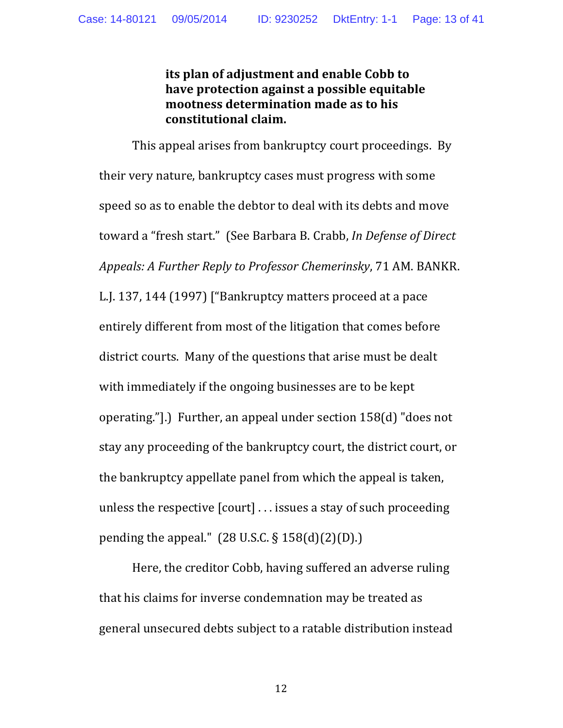**its plan of adjustment and enable Cobb to have protection against a possible equitable mootness determination made as to his constitutional claim.**

This appeal arises from bankruptcy court proceedings. By their very nature, bankruptcy cases must progress with some speed so as to enable the debtor to deal with its debts and move toward a "fresh start." (See Barbara B. Crabb, *In Defense of Direct Appeals: A Further Reply to Professor Chemerinsky*, 71 AM. BANKR. L.J. 137, 144 (1997) ["Bankruptcy matters proceed at a pace entirely different from most of the litigation that comes before district courts. Many of the questions that arise must be dealt with immediately if the ongoing businesses are to be kept operating."].) Further, an appeal under section  $158(d)$  "does not stay any proceeding of the bankruptcy court, the district court, or the bankruptcy appellate panel from which the appeal is taken, unless the respective  $\lceil \text{court} \rceil$ ... issues a stay of such proceeding pending the appeal."  $(28 \text{ U.S.C.} \S 158(d)(2)(D))$ .

Here, the creditor Cobb, having suffered an adverse ruling that his claims for inverse condemnation may be treated as general unsecured debts subject to a ratable distribution instead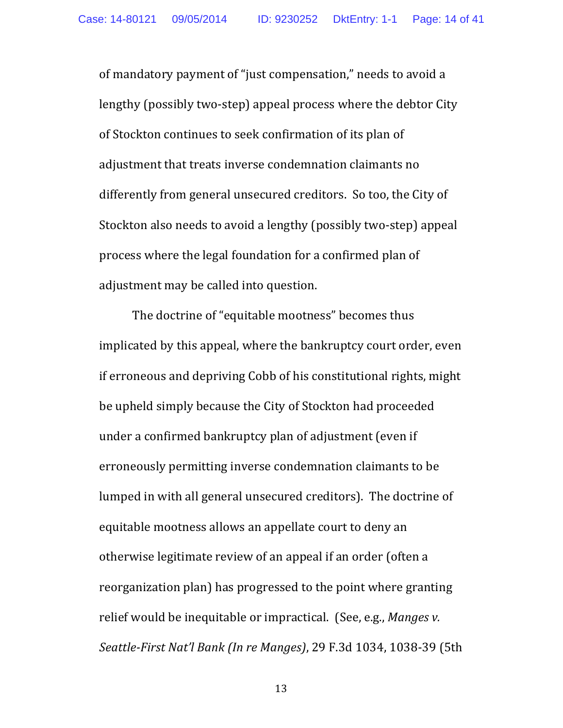of mandatory payment of "just compensation," needs to avoid a lengthy (possibly two-step) appeal process where the debtor City of Stockton continues to seek confirmation of its plan of adjustment that treats inverse condemnation claimants no differently from general unsecured creditors. So too, the City of Stockton also needs to avoid a lengthy (possibly two-step) appeal process where the legal foundation for a confirmed plan of adjustment may be called into question.

The doctrine of "equitable mootness" becomes thus implicated by this appeal, where the bankruptcy court order, even if erroneous and depriving Cobb of his constitutional rights, might be upheld simply because the City of Stockton had proceeded under a confirmed bankruptcy plan of adjustment (even if erroneously permitting inverse condemnation claimants to be lumped in with all general unsecured creditors). The doctrine of equitable mootness allows an appellate court to deny an otherwise legitimate review of an appeal if an order (often a reorganization plan) has progressed to the point where granting relief would be inequitable or impractical. (See, e.g., *Manges v.*) *Seattle-First Nat'l Bank (In re Manges)*, 29 F.3d 1034, 1038-39 (5th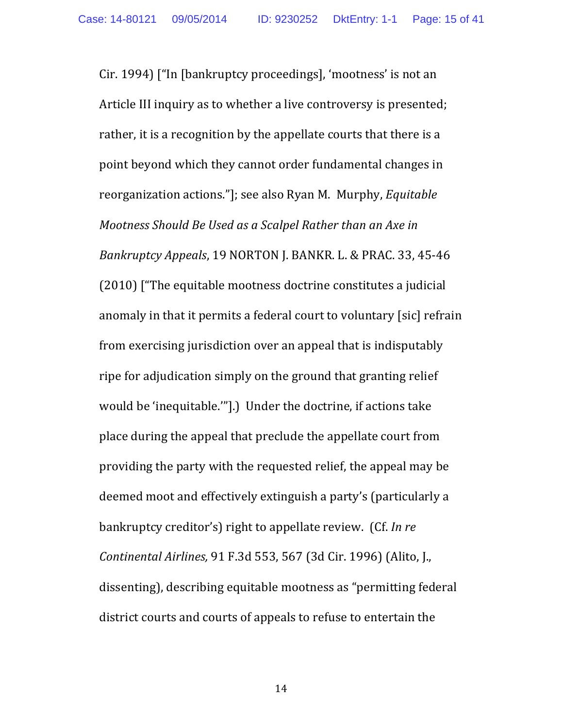Cir. 1994) ["In [bankruptcy proceedings], 'mootness' is not an Article III inquiry as to whether a live controversy is presented; rather, it is a recognition by the appellate courts that there is a point beyond which they cannot order fundamental changes in reorganization actions."]; see also Ryan M. Murphy, *Equitable Mootness Should Be Used as a Scalpel Rather than an Axe in Bankruptcy Appeals*, 19 NORTON J. BANKR. L. & PRAC. 33, 45-46  $(2010)$  ["The equitable mootness doctrine constitutes a judicial anomaly in that it permits a federal court to voluntary [sic] refrain from exercising jurisdiction over an appeal that is indisputably ripe for adjudication simply on the ground that granting relief would be 'inequitable.'"].) Under the doctrine, if actions take place during the appeal that preclude the appellate court from providing the party with the requested relief, the appeal may be deemed moot and effectively extinguish a party's (particularly a bankruptcy creditor's) right to appellate review. (Cf. *In re Continental Airlines,* 91 F.3d 553, 567 (3d Cir. 1996) (Alito, J., dissenting), describing equitable mootness as "permitting federal district courts and courts of appeals to refuse to entertain the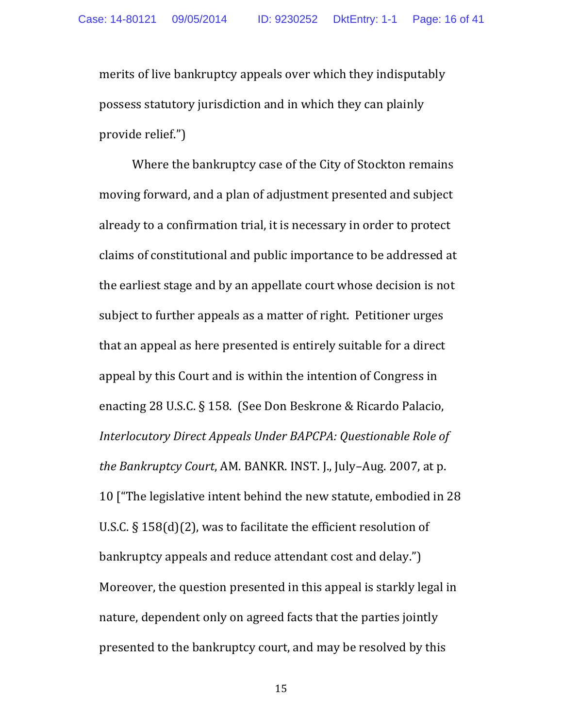merits of live bankruptcy appeals over which they indisputably possess statutory jurisdiction and in which they can plainly provide relief.")

Where the bankruptcy case of the City of Stockton remains moving forward, and a plan of adjustment presented and subject already to a confirmation trial, it is necessary in order to protect claims of constitutional and public importance to be addressed at the earliest stage and by an appellate court whose decision is not subject to further appeals as a matter of right. Petitioner urges that an appeal as here presented is entirely suitable for a direct appeal by this Court and is within the intention of Congress in enacting 28 U.S.C. § 158. (See Don Beskrone & Ricardo Palacio, *Interlocutory Direct Appeals Under BAPCPA: Questionable Role of the Bankruptcy Court, AM. BANKR. INST. J., July–Aug. 2007, at p.* 10 I The legislative intent behind the new statute, embodied in 28 U.S.C.  $\S$  158(d)(2), was to facilitate the efficient resolution of bankruptcy appeals and reduce attendant cost and delay.") Moreover, the question presented in this appeal is starkly legal in nature, dependent only on agreed facts that the parties jointly presented to the bankruptcy court, and may be resolved by this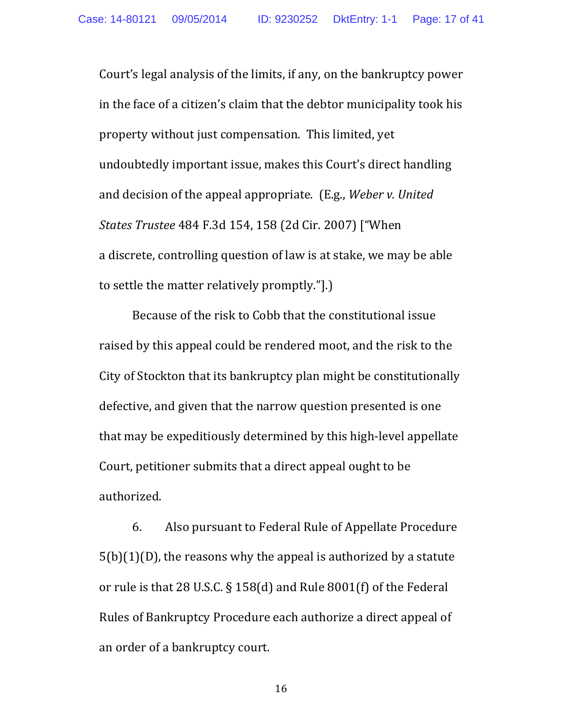Court's legal analysis of the limits, if any, on the bankruptcy power in the face of a citizen's claim that the debtor municipality took his property without just compensation. This limited, yet undoubtedly important issue, makes this Court's direct handling and decision of the appeal appropriate. (E.g., *Weber v. United States Trustee* 484 F.3d 154, 158 (2d Cir. 2007) ["When a discrete, controlling question of law is at stake, we may be able to settle the matter relatively promptly."].

Because of the risk to Cobb that the constitutional issue raised by this appeal could be rendered moot, and the risk to the City of Stockton that its bankruptcy plan might be constitutionally defective, and given that the narrow question presented is one that may be expeditiously determined by this high-level appellate Court, petitioner submits that a direct appeal ought to be authorized.

6. Also pursuant to Federal Rule of Appellate Procedure  $5(b)(1)(D)$ , the reasons why the appeal is authorized by a statute or rule is that 28 U.S.C. § 158(d) and Rule  $8001(f)$  of the Federal Rules of Bankruptcy Procedure each authorize a direct appeal of an order of a bankruptcy court.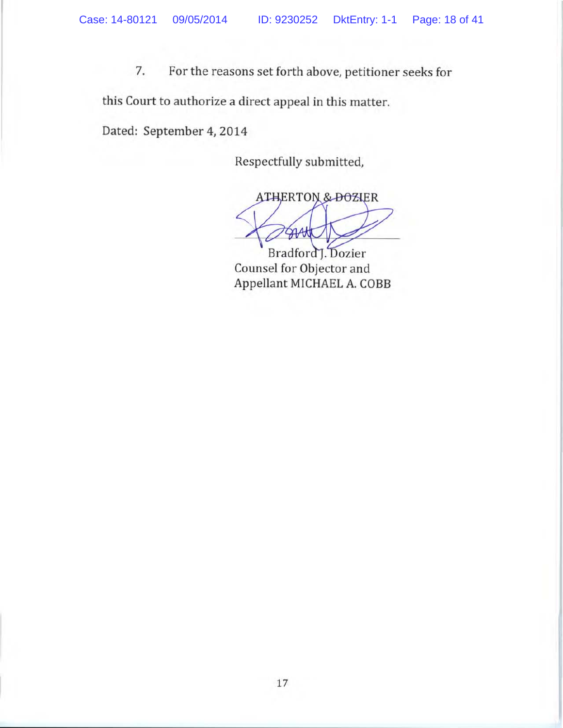7. For the reasons set forth above, petitioner seeks for

this Court to authorize a direct appeal in this matter.

Dated: September 4, 2014

Respectfully submitted,

**ATHERTON & DOZIER** SAAtl

Bradford<sub>J.</sub> Dozier Counsel for Objector and Appellant MICHAEL A. COBB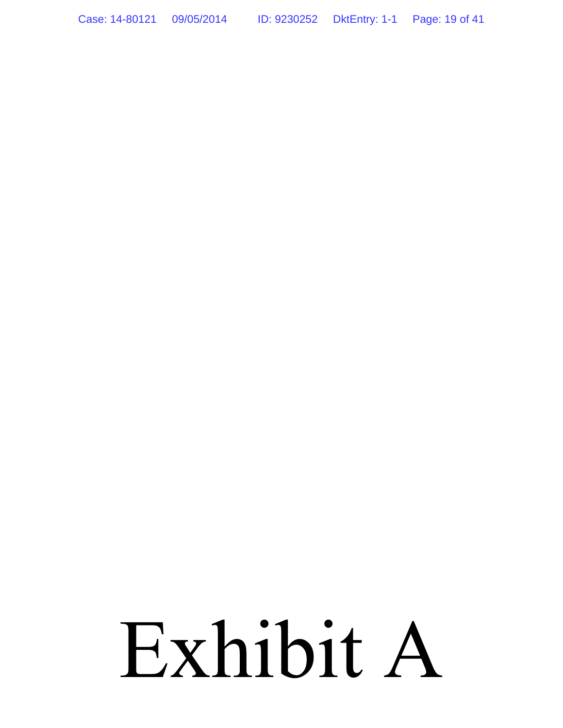Case: 14-80121 09/05/2014 ID: 9230252 DktEntry: 1-1 Page: 19 of 41

# Exhibit A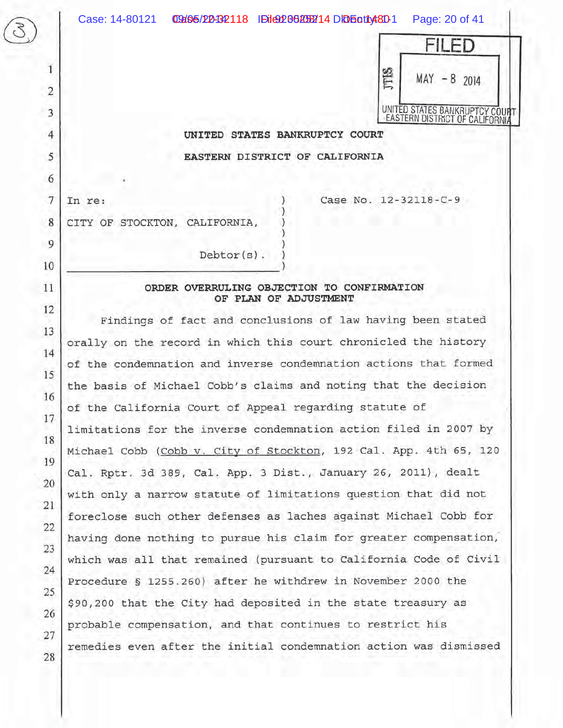1

 $\overline{2}$ 

3

4

5

6

 $\overline{7}$ 

8

9

10

11

12

13

14

15

16

17

18

19

20

21

22

23

24

25

26

27

28

In re:



## UNITED STATES BANKRUPTCY COURT

EASTERN DISTRICT OF CALIFORNIA

Case No. 12-32118-C-9

CITY OF STOCKTON, CALIFORNIA,

#### ORDER OVERRULING OBJECTION TO CONFIRMATION OF PLAN OF ADJUSTMENT

Debtor(s).

Findings of fact and conclusions of law having been stated orally on the record in which this court chronicled the history of the condemnation and inverse condemnation actions that formed the basis of Michael Cobb's claims and noting that the decision of the California Court of Appeal regarding statute of limitations for the inverse condemnation action filed in 2007 by Michael Cobb (Cobb v. City of Stockton, 192 Cal. App. 4th 65, 120 Cal. Rptr. 3d 389, Cal. App. 3 Dist., January 26, 2011), dealt with only a narrow statute of limitations question that did not foreclose such other defenses as laches against Michael Cobb for having done nothing to pursue his claim for greater compensation, which was all that remained (pursuant to California Code of Civil Procedure § 1255.260) after he withdrew in November 2000 the \$90,200 that the City had deposited in the state treasury as probable compensation, and that continues to restrict his remedies even after the initial condemnation action was dismissed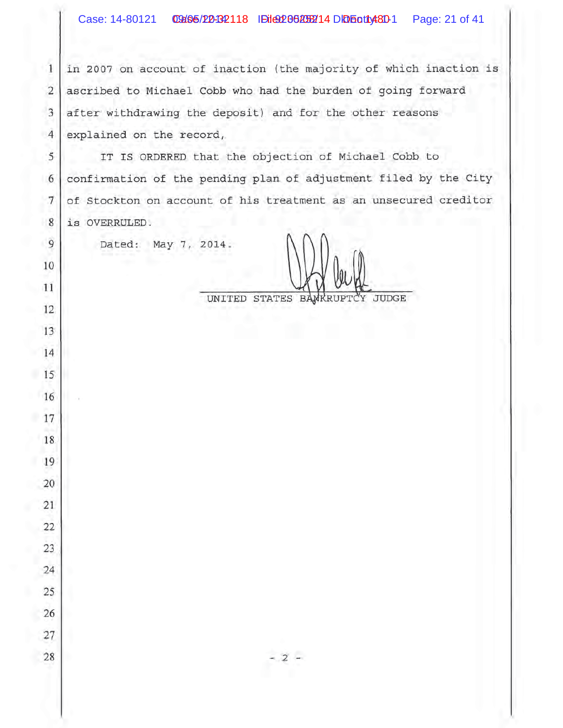$\mathbf{1}$ in 2007 on account of inaction (the majority of which inaction is  $\overline{2}$ ascribed to Michael Cobb who had the burden of going forward after withdrawing the deposit) and for the other reasons  $\overline{3}$  $\overline{4}$ explained on the record,

5 IT IS ORDERED that the objection of Michael Cobb to confirmation of the pending plan of adjustment filed by the City 6  $7$ of Stockton on account of his treatment as an unsecured creditor 8 is OVERRULED.

Dated: May 7, 2014.

 $\overline{9}$ 

10

- 11

12

13

14

15

16

17

19

20

21

22

23

24

25

26

 $27\,$ 

28

18

UNITED STATES BANKRUPTCY JUDGE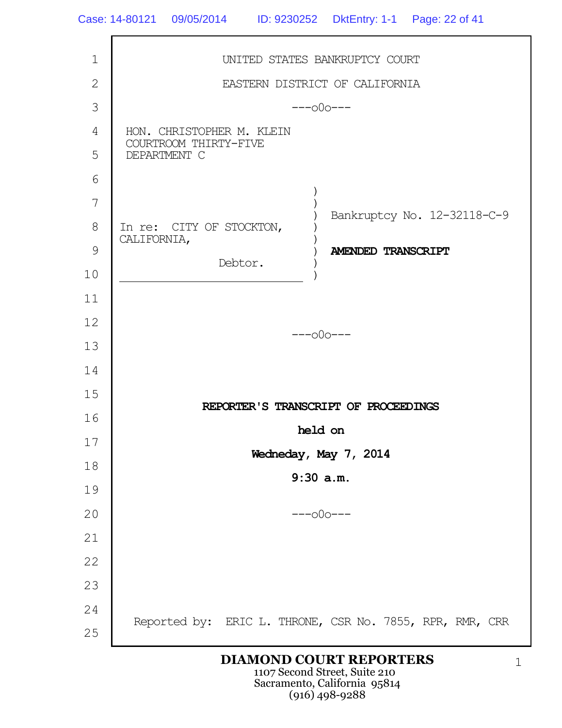1 2 3 4 5 6 7 8 9 10 11 12 13 14 15 16 17 18 19 20 21 22 23 24 25 UNITED STATES BANKRUPTCY COURT EASTERN DISTRICT OF CALIFORNIA  $---000---$ HON. CHRISTOPHER M. KLEIN COURTROOM THIRTY-FIVE DEPARTMENT C In re: CITY OF STOCKTON, CALIFORNIA, Debtor. ) ) ) ) )  $\lambda$ ) ) Bankruptcy No. 12-32118-C-9 **AMENDED TRANSCRIPT** ---o0o--- **REPORTER'S TRANSCRIPT OF PROCEEDINGS held on Wedneday, May 7, 2014 9:30 a.m.**  $---000---$ Reported by: ERIC L. THRONE, CSR No. 7855, RPR, RMR, CRR

### **DIAMOND COURT REPORTERS**

1107 Second Street, Suite 210 Sacramento, California 95814 (916) 498-9288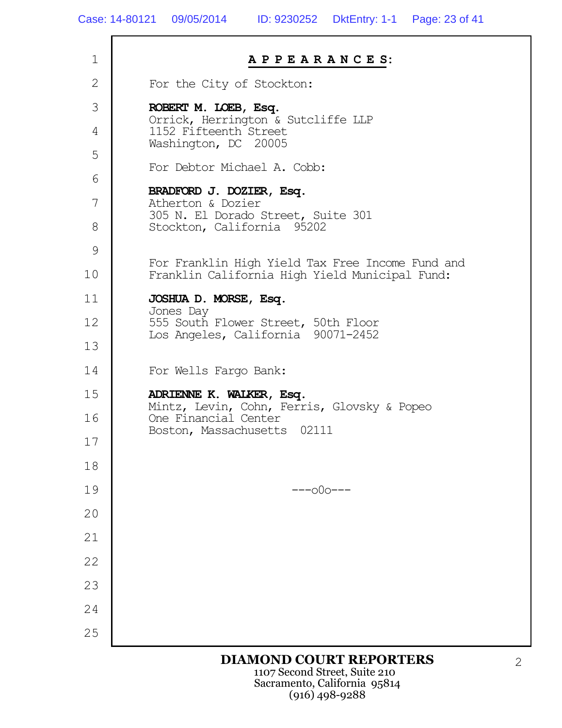| $\mathbf 1$    | APPEARANCES:                                                              |
|----------------|---------------------------------------------------------------------------|
| $\overline{2}$ | For the City of Stockton:                                                 |
| 3              | ROBERT M. LOEB, Esq.<br>Orrick, Herrington & Sutcliffe LLP                |
| 4              | 1152 Fifteenth Street<br>Washington, DC 20005                             |
| 5              | For Debtor Michael A. Cobb:                                               |
| 6              | BRADFORD J. DOZIER, Esq.                                                  |
| 7              | Atherton & Dozier<br>305 N. El Dorado Street, Suite 301                   |
| 8              | Stockton, California 95202                                                |
| 9              | For Franklin High Yield Tax Free Income Fund and                          |
| 10             | Franklin California High Yield Municipal Fund:                            |
| 11             | JOSHUA D. MORSE, Esq.<br>Jones Day                                        |
| 12             | 555 South Flower Street, 50th Floor<br>Los Angeles, California 90071-2452 |
| 13             |                                                                           |
| 14             | For Wells Fargo Bank:                                                     |
| 15             | ADRIENNE K. WALKER, Esq.<br>Mintz, Levin, Cohn, Ferris, Glovsky & Popeo   |
| 16             | One Financial Center<br>Boston, Massachusetts 02111                       |
| 17             |                                                                           |
| 18             |                                                                           |
| 19             | $---000---$                                                               |
| 20             |                                                                           |
| 21             |                                                                           |
| 22             |                                                                           |
| 23             |                                                                           |
| 24             |                                                                           |
| 25             |                                                                           |
|                | <b>DIAMOND COURT REPORTERS</b>                                            |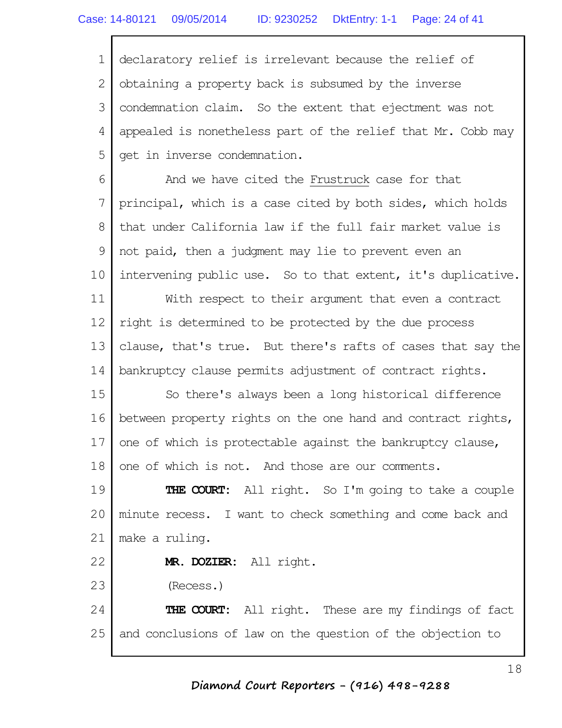1 2 3 4 5 declaratory relief is irrelevant because the relief of obtaining a property back is subsumed by the inverse condemnation claim. So the extent that ejectment was not appealed is nonetheless part of the relief that Mr. Cobb may get in inverse condemnation.

6 7 8 9 10 And we have cited the Frustruck case for that principal, which is a case cited by both sides, which holds that under California law if the full fair market value is not paid, then a judgment may lie to prevent even an intervening public use. So to that extent, it's duplicative.

11 12 13 14 With respect to their argument that even a contract right is determined to be protected by the due process clause, that's true. But there's rafts of cases that say the bankruptcy clause permits adjustment of contract rights.

15 16 17 18 So there's always been a long historical difference between property rights on the one hand and contract rights, one of which is protectable against the bankruptcy clause, one of which is not. And those are our comments.

19 20 21 **THE COURT:** All right. So I'm going to take a couple minute recess. I want to check something and come back and make a ruling.

**MR. DOZIER:** All right.

23 (Recess.)

22

24 25 **THE COURT:** All right. These are my findings of fact and conclusions of law on the question of the objection to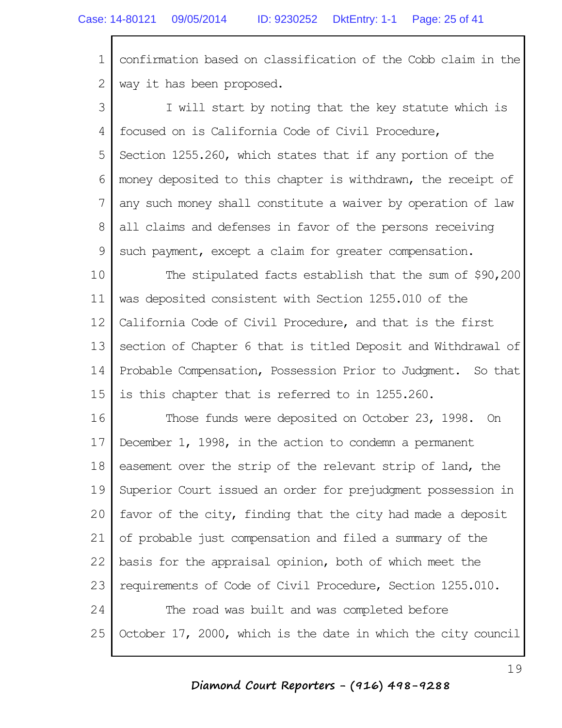1 2 confirmation based on classification of the Cobb claim in the way it has been proposed.

3 4 5 6 7 8 9 I will start by noting that the key statute which is focused on is California Code of Civil Procedure, Section 1255.260, which states that if any portion of the money deposited to this chapter is withdrawn, the receipt of any such money shall constitute a waiver by operation of law all claims and defenses in favor of the persons receiving such payment, except a claim for greater compensation.

10 11 12 13 14 15 The stipulated facts establish that the sum of \$90,200 was deposited consistent with Section 1255.010 of the California Code of Civil Procedure, and that is the first section of Chapter 6 that is titled Deposit and Withdrawal of Probable Compensation, Possession Prior to Judgment. So that is this chapter that is referred to in 1255.260.

16 17 18 19 20 21 22 23 24 25 Those funds were deposited on October 23, 1998. On December 1, 1998, in the action to condemn a permanent easement over the strip of the relevant strip of land, the Superior Court issued an order for prejudgment possession in favor of the city, finding that the city had made a deposit of probable just compensation and filed a summary of the basis for the appraisal opinion, both of which meet the requirements of Code of Civil Procedure, Section 1255.010. The road was built and was completed before October 17, 2000, which is the date in which the city council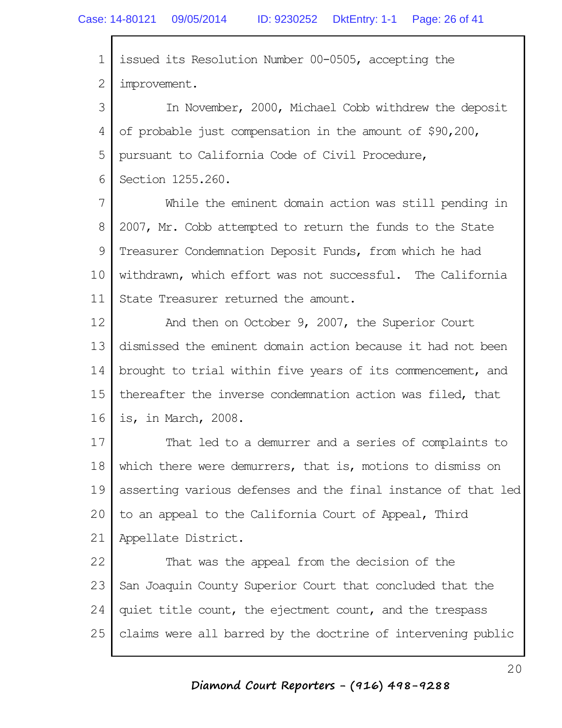Г

| 1  | issued its Resolution Number 00-0505, accepting the           |
|----|---------------------------------------------------------------|
| 2  | improvement.                                                  |
| 3  | In November, 2000, Michael Cobb withdrew the deposit          |
| 4  | of probable just compensation in the amount of \$90,200,      |
| 5  | pursuant to California Code of Civil Procedure,               |
| 6  | Section 1255.260.                                             |
| 7  | While the eminent domain action was still pending in          |
| 8  | 2007, Mr. Cobb attempted to return the funds to the State     |
| 9  | Treasurer Condemnation Deposit Funds, from which he had       |
| 10 | withdrawn, which effort was not successful. The California    |
| 11 | State Treasurer returned the amount.                          |
| 12 | And then on October 9, 2007, the Superior Court               |
| 13 | dismissed the eminent domain action because it had not been   |
| 14 | brought to trial within five years of its commencement, and   |
| 15 | thereafter the inverse condemnation action was filed, that    |
| 16 | is, in March, 2008.                                           |
| 17 | That led to a demurrer and a series of complaints to          |
| 18 | which there were demurrers, that is, motions to dismiss on    |
| 19 | asserting various defenses and the final instance of that led |
| 20 | to an appeal to the California Court of Appeal, Third         |
| 21 | Appellate District.                                           |
| 22 | That was the appeal from the decision of the                  |
| 23 | San Joaquin County Superior Court that concluded that the     |
| 24 | quiet title count, the ejectment count, and the trespass      |
| 25 | claims were all barred by the doctrine of intervening public  |

 $\mathbf{r}$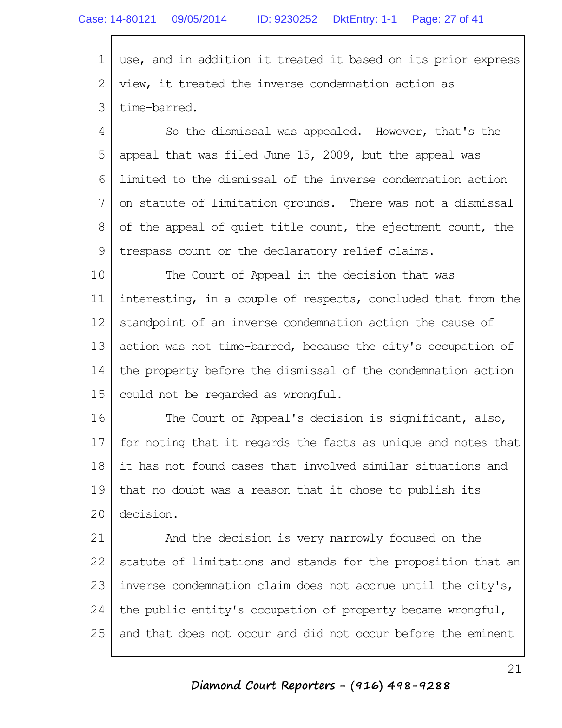1 2 3 use, and in addition it treated it based on its prior express view, it treated the inverse condemnation action as time-barred.

4 5 6 7 8 9 So the dismissal was appealed. However, that's the appeal that was filed June 15, 2009, but the appeal was limited to the dismissal of the inverse condemnation action on statute of limitation grounds. There was not a dismissal of the appeal of quiet title count, the ejectment count, the trespass count or the declaratory relief claims.

10 11 12 13 14 15 The Court of Appeal in the decision that was interesting, in a couple of respects, concluded that from the standpoint of an inverse condemnation action the cause of action was not time-barred, because the city's occupation of the property before the dismissal of the condemnation action could not be regarded as wrongful.

16 17 18 19 20 The Court of Appeal's decision is significant, also, for noting that it regards the facts as unique and notes that it has not found cases that involved similar situations and that no doubt was a reason that it chose to publish its decision.

21 22 23 24 25 And the decision is very narrowly focused on the statute of limitations and stands for the proposition that an inverse condemnation claim does not accrue until the city's, the public entity's occupation of property became wrongful, and that does not occur and did not occur before the eminent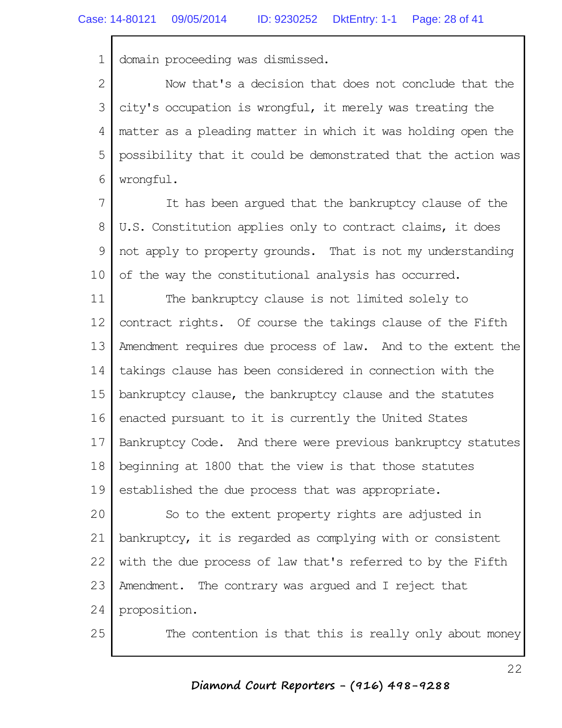1 domain proceeding was dismissed.

2 3 4 5 6 Now that's a decision that does not conclude that the city's occupation is wrongful, it merely was treating the matter as a pleading matter in which it was holding open the possibility that it could be demonstrated that the action was wrongful.

7 8 9 10 It has been argued that the bankruptcy clause of the U.S. Constitution applies only to contract claims, it does not apply to property grounds. That is not my understanding of the way the constitutional analysis has occurred.

11 12 13 14 15 16 17 18 19 The bankruptcy clause is not limited solely to contract rights. Of course the takings clause of the Fifth Amendment requires due process of law. And to the extent the takings clause has been considered in connection with the bankruptcy clause, the bankruptcy clause and the statutes enacted pursuant to it is currently the United States Bankruptcy Code. And there were previous bankruptcy statutes beginning at 1800 that the view is that those statutes established the due process that was appropriate.

20 21 22 23 24 So to the extent property rights are adjusted in bankruptcy, it is regarded as complying with or consistent with the due process of law that's referred to by the Fifth Amendment. The contrary was argued and I reject that proposition.

25

The contention is that this is really only about money

#### **Diamond Court Reporters - (916) 498-9288**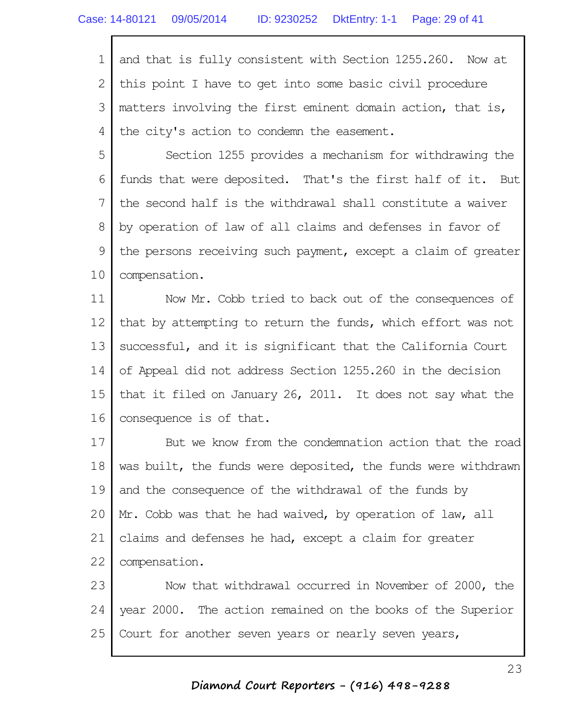1 2 3 4 and that is fully consistent with Section 1255.260. Now at this point I have to get into some basic civil procedure matters involving the first eminent domain action, that is, the city's action to condemn the easement.

5 6 7 8 9 10 Section 1255 provides a mechanism for withdrawing the funds that were deposited. That's the first half of it. But the second half is the withdrawal shall constitute a waiver by operation of law of all claims and defenses in favor of the persons receiving such payment, except a claim of greater compensation.

11 12 13 14 15 16 Now Mr. Cobb tried to back out of the consequences of that by attempting to return the funds, which effort was not successful, and it is significant that the California Court of Appeal did not address Section 1255.260 in the decision that it filed on January 26, 2011. It does not say what the consequence is of that.

17 18 19 20 21 22 But we know from the condemnation action that the road was built, the funds were deposited, the funds were withdrawn and the consequence of the withdrawal of the funds by Mr. Cobb was that he had waived, by operation of law, all claims and defenses he had, except a claim for greater compensation.

23 24 25 Now that withdrawal occurred in November of 2000, the year 2000. The action remained on the books of the Superior Court for another seven years or nearly seven years,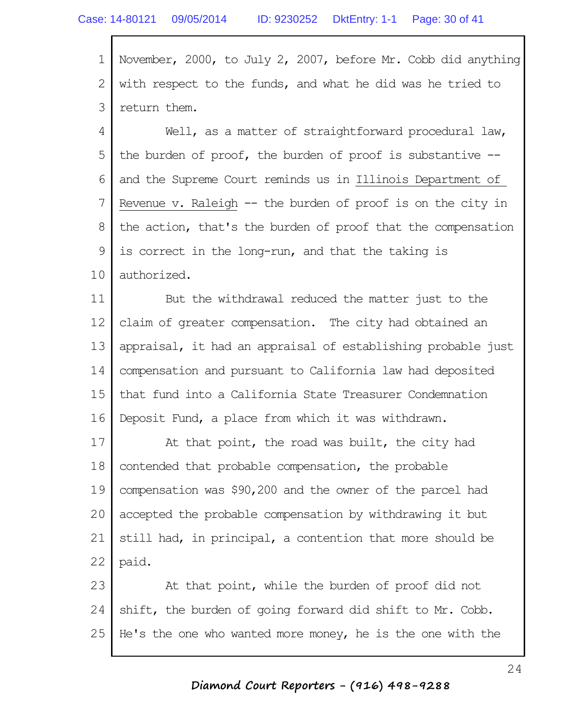1 2 3 November, 2000, to July 2, 2007, before Mr. Cobb did anything with respect to the funds, and what he did was he tried to return them.

4 5 6 7 8 9 10 Well, as a matter of straightforward procedural law, the burden of proof, the burden of proof is substantive - and the Supreme Court reminds us in Illinois Department of Revenue v. Raleigh -- the burden of proof is on the city in the action, that's the burden of proof that the compensation is correct in the long-run, and that the taking is authorized.

11 12 13 14 15 16 But the withdrawal reduced the matter just to the claim of greater compensation. The city had obtained an appraisal, it had an appraisal of establishing probable just compensation and pursuant to California law had deposited that fund into a California State Treasurer Condemnation Deposit Fund, a place from which it was withdrawn.

17 18 19 20 21 22 At that point, the road was built, the city had contended that probable compensation, the probable compensation was \$90,200 and the owner of the parcel had accepted the probable compensation by withdrawing it but still had, in principal, a contention that more should be paid.

23 24 25 At that point, while the burden of proof did not shift, the burden of going forward did shift to Mr. Cobb. He's the one who wanted more money, he is the one with the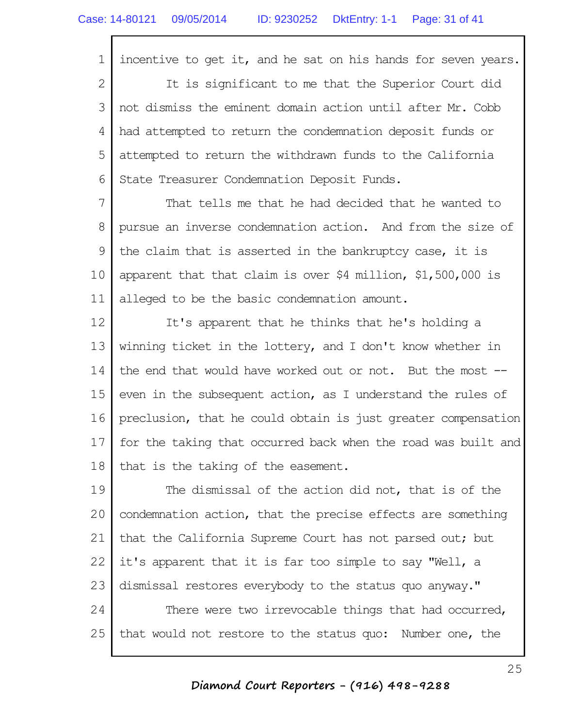1 2 3 4 5 6 incentive to get it, and he sat on his hands for seven years. It is significant to me that the Superior Court did not dismiss the eminent domain action until after Mr. Cobb had attempted to return the condemnation deposit funds or attempted to return the withdrawn funds to the California State Treasurer Condemnation Deposit Funds.

7 8 9 10 11 That tells me that he had decided that he wanted to pursue an inverse condemnation action. And from the size of the claim that is asserted in the bankruptcy case, it is apparent that that claim is over \$4 million, \$1,500,000 is alleged to be the basic condemnation amount.

12 13 14 15 16 17 18 It's apparent that he thinks that he's holding a winning ticket in the lottery, and I don't know whether in the end that would have worked out or not. But the most - even in the subsequent action, as I understand the rules of preclusion, that he could obtain is just greater compensation for the taking that occurred back when the road was built and that is the taking of the easement.

19 20 21 22 23 24 25 The dismissal of the action did not, that is of the condemnation action, that the precise effects are something that the California Supreme Court has not parsed out; but it's apparent that it is far too simple to say "Well, a dismissal restores everybody to the status quo anyway." There were two irrevocable things that had occurred, that would not restore to the status quo: Number one, the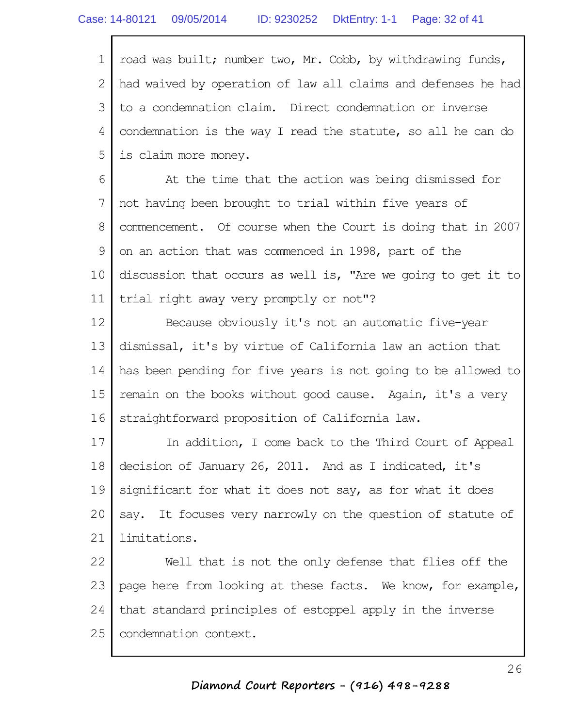1 2 3 4 5 road was built; number two, Mr. Cobb, by withdrawing funds, had waived by operation of law all claims and defenses he had to a condemnation claim. Direct condemnation or inverse condemnation is the way I read the statute, so all he can do is claim more money.

6 7 8 9 10 11 At the time that the action was being dismissed for not having been brought to trial within five years of commencement. Of course when the Court is doing that in 2007 on an action that was commenced in 1998, part of the discussion that occurs as well is, "Are we going to get it to trial right away very promptly or not"?

12 13 14 15 16 Because obviously it's not an automatic five-year dismissal, it's by virtue of California law an action that has been pending for five years is not going to be allowed to remain on the books without good cause. Again, it's a very straightforward proposition of California law.

17 18 19 20 21 In addition, I come back to the Third Court of Appeal decision of January 26, 2011. And as I indicated, it's significant for what it does not say, as for what it does say. It focuses very narrowly on the question of statute of limitations.

22 23 24 25 Well that is not the only defense that flies off the page here from looking at these facts. We know, for example, that standard principles of estoppel apply in the inverse condemnation context.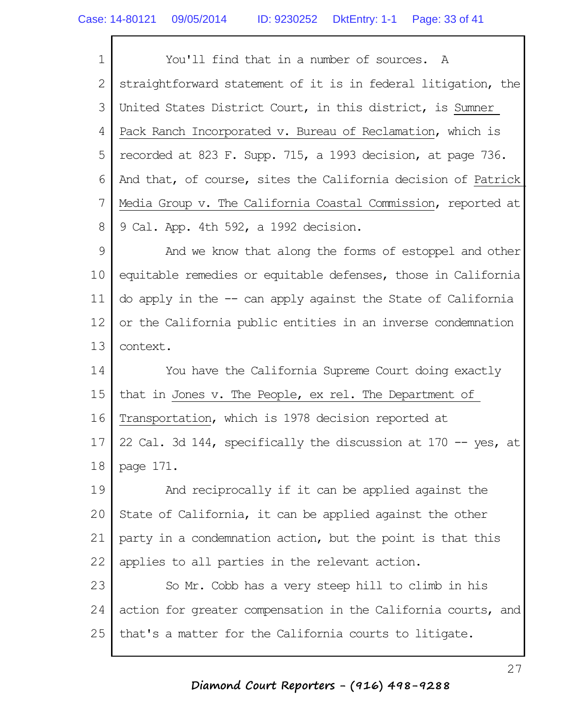1 2 3 4 5 6 7 8 You'll find that in a number of sources. A straightforward statement of it is in federal litigation, the United States District Court, in this district, is Sumner Pack Ranch Incorporated v. Bureau of Reclamation, which is recorded at 823 F. Supp. 715, a 1993 decision, at page 736. And that, of course, sites the California decision of Patrick Media Group v. The California Coastal Commission, reported at 9 Cal. App. 4th 592, a 1992 decision.

9 10 11 12 13 And we know that along the forms of estoppel and other equitable remedies or equitable defenses, those in California do apply in the -- can apply against the State of California or the California public entities in an inverse condemnation context.

14 15 16 17 18 You have the California Supreme Court doing exactly that in Jones v. The People, ex rel. The Department of Transportation, which is 1978 decision reported at 22 Cal. 3d 144, specifically the discussion at 170 -- yes, at page 171.

19 20 21 22 And reciprocally if it can be applied against the State of California, it can be applied against the other party in a condemnation action, but the point is that this applies to all parties in the relevant action.

23 24 25 So Mr. Cobb has a very steep hill to climb in his action for greater compensation in the California courts, and that's a matter for the California courts to litigate.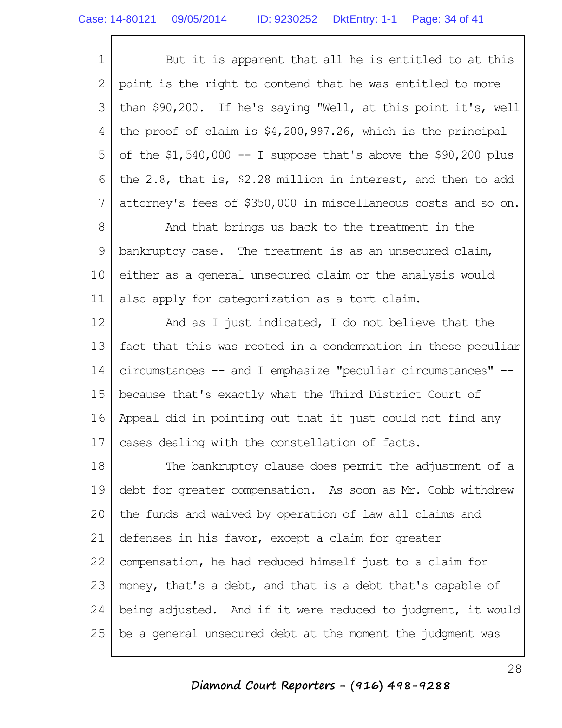| $1\vert$       | But it is apparent that all he is entitled to at this            |
|----------------|------------------------------------------------------------------|
|                | 2   point is the right to contend that he was entitled to more   |
|                | 3 than \$90,200. If he's saying "Well, at this point it's, well  |
|                | 4 the proof of claim is $$4,200,997.26$ , which is the principal |
|                | 5 of the \$1,540,000 -- I suppose that's above the \$90,200 plus |
| 6 <sup>1</sup> | the 2.8, that is, \$2.28 million in interest, and then to add    |
| 7 <sup>1</sup> | attorney's fees of \$350,000 in miscellaneous costs and so on.   |

8 9 10 11 And that brings us back to the treatment in the bankruptcy case. The treatment is as an unsecured claim, either as a general unsecured claim or the analysis would also apply for categorization as a tort claim.

12 13 14 15 16 17 And as I just indicated, I do not believe that the fact that this was rooted in a condemnation in these peculiar circumstances -- and I emphasize "peculiar circumstances" - because that's exactly what the Third District Court of Appeal did in pointing out that it just could not find any cases dealing with the constellation of facts.

18 19 20 21 22 23 24 25 The bankruptcy clause does permit the adjustment of a debt for greater compensation. As soon as Mr. Cobb withdrew the funds and waived by operation of law all claims and defenses in his favor, except a claim for greater compensation, he had reduced himself just to a claim for money, that's a debt, and that is a debt that's capable of being adjusted. And if it were reduced to judgment, it would be a general unsecured debt at the moment the judgment was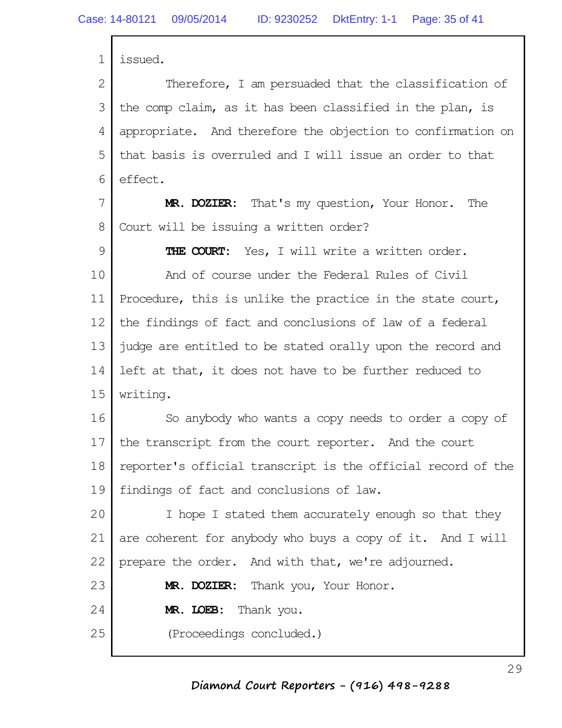1 2 3 4 5 6 7 8 9 10 11 12 13 14 15 16 17 18 19 20 21 22 23 24 25 issued. Therefore, I am persuaded that the classification of the comp claim, as it has been classified in the plan, is appropriate. And therefore the objection to confirmation on that basis is overruled and I will issue an order to that effect. **MR. DOZIER:** That's my question, Your Honor. The Court will be issuing a written order? **THE COURT:** Yes, I will write a written order. And of course under the Federal Rules of Civil Procedure, this is unlike the practice in the state court, the findings of fact and conclusions of law of a federal judge are entitled to be stated orally upon the record and left at that, it does not have to be further reduced to writing. So anybody who wants a copy needs to order a copy of the transcript from the court reporter. And the court reporter's official transcript is the official record of the findings of fact and conclusions of law. I hope I stated them accurately enough so that they are coherent for anybody who buys a copy of it. And I will prepare the order. And with that, we're adjourned. **MR. DOZIER:** Thank you, Your Honor. **MR. LOEB:** Thank you. (Proceedings concluded.)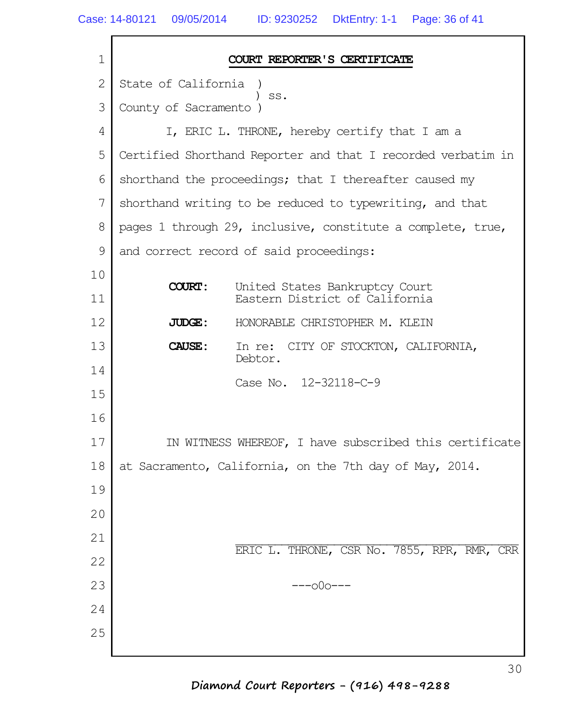г

| $\mathbf 1$    | COURT REPORTER'S CERTIFICATE                                                      |  |
|----------------|-----------------------------------------------------------------------------------|--|
| $\overline{2}$ | State of California                                                               |  |
| 3              | SS.<br>County of Sacramento                                                       |  |
| 4              | I, ERIC L. THRONE, hereby certify that I am a                                     |  |
| 5              | Certified Shorthand Reporter and that I recorded verbatim in                      |  |
| 6              | shorthand the proceedings; that I thereafter caused my                            |  |
| 7              | shorthand writing to be reduced to typewriting, and that                          |  |
| 8              | pages 1 through 29, inclusive, constitute a complete, true,                       |  |
| 9              | and correct record of said proceedings:                                           |  |
| 10             |                                                                                   |  |
| 11             | <b>COURT:</b><br>United States Bankruptcy Court<br>Eastern District of California |  |
| 12             | HONORABLE CHRISTOPHER M. KLEIN<br>JUDGE:                                          |  |
| 13             | CITY OF STOCKTON, CALIFORNIA,<br>CAUSE:<br>In re:<br>Debtor.                      |  |
| 14             | Case No. 12-32118-C-9                                                             |  |
| 15             |                                                                                   |  |
| 16             |                                                                                   |  |
| 17             | IN WITNESS WHEREOF, I have subscribed this certificate                            |  |
| 18             | at Sacramento, California, on the 7th day of May, 2014.                           |  |
| 19             |                                                                                   |  |
| 20             |                                                                                   |  |
| 21             | ERIC L. THRONE, CSR No. 7855, RPR, RMR, CRR                                       |  |
| 22             |                                                                                   |  |
| 23             | ---o0o---                                                                         |  |
| 24             |                                                                                   |  |
| 25             |                                                                                   |  |

**Diamond Court Reporters - (916) 498-9288**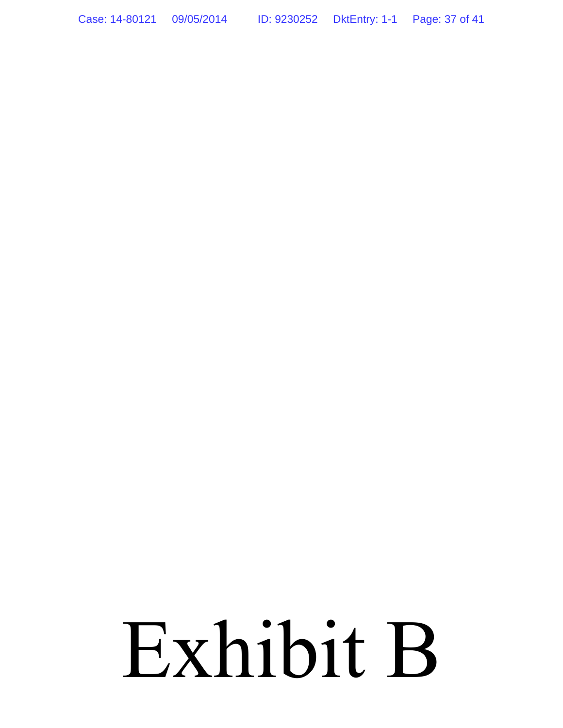Case: 14-80121 09/05/2014 ID: 9230252 DktEntry: 1-1 Page: 37 of 41

# Exhibit B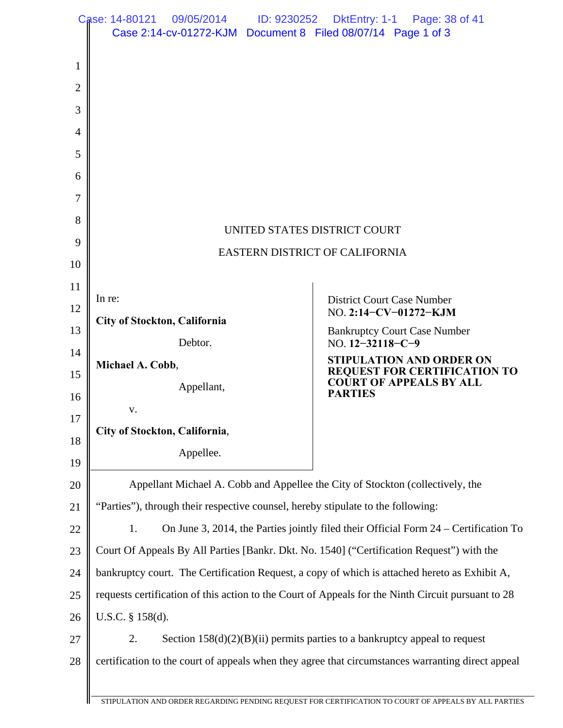|                | Case: 14-80121 09/05/2014<br>ID: 9230252<br>Case 2:14-cv-01272-KJM  Document 8  Filed 08/07/14  Page 1 of 3 | DktEntry: 1-1 Page: 38 of 41                                                         |
|----------------|-------------------------------------------------------------------------------------------------------------|--------------------------------------------------------------------------------------|
|                |                                                                                                             |                                                                                      |
| $\mathbf{1}$   |                                                                                                             |                                                                                      |
| $\overline{2}$ |                                                                                                             |                                                                                      |
| 3              |                                                                                                             |                                                                                      |
| $\overline{4}$ |                                                                                                             |                                                                                      |
| 5              |                                                                                                             |                                                                                      |
| 6              |                                                                                                             |                                                                                      |
| 7              |                                                                                                             |                                                                                      |
| 8              |                                                                                                             | UNITED STATES DISTRICT COURT                                                         |
| 9              | EASTERN DISTRICT OF CALIFORNIA                                                                              |                                                                                      |
| 10             |                                                                                                             |                                                                                      |
| 11             | In re:                                                                                                      | <b>District Court Case Number</b>                                                    |
| 12             | City of Stockton, California                                                                                | NO. 2:14-CV-01272-KJM                                                                |
| 13             | Debtor.                                                                                                     | <b>Bankruptcy Court Case Number</b><br>NO. $12 - 32118 - C - 9$                      |
| 14             | Michael A. Cobb,                                                                                            | <b>STIPULATION AND ORDER ON</b><br>REQUEST FOR CERTIFICATION TO                      |
| 15             | Appellant,                                                                                                  | <b>COURT OF APPEALS BY ALL</b><br><b>PARTIES</b>                                     |
| 16             | V.                                                                                                          |                                                                                      |
| 17             | City of Stockton, California,                                                                               |                                                                                      |
| 18<br>19       | Appellee.                                                                                                   |                                                                                      |
| 20             | Appellant Michael A. Cobb and Appellee the City of Stockton (collectively, the                              |                                                                                      |
| 21             | "Parties"), through their respective counsel, hereby stipulate to the following:                            |                                                                                      |
| 22             | 1.                                                                                                          | On June 3, 2014, the Parties jointly filed their Official Form 24 – Certification To |
| 23             | Court Of Appeals By All Parties [Bankr. Dkt. No. 1540] ("Certification Request") with the                   |                                                                                      |
| 24             | bankruptcy court. The Certification Request, a copy of which is attached hereto as Exhibit A,               |                                                                                      |
| 25             | requests certification of this action to the Court of Appeals for the Ninth Circuit pursuant to 28          |                                                                                      |
| 26             | U.S.C. § 158(d).                                                                                            |                                                                                      |
| 27             | 2.                                                                                                          | Section $158(d)(2)(B)(ii)$ permits parties to a bankruptcy appeal to request         |
| 28             | certification to the court of appeals when they agree that circumstances warranting direct appeal           |                                                                                      |
|                |                                                                                                             |                                                                                      |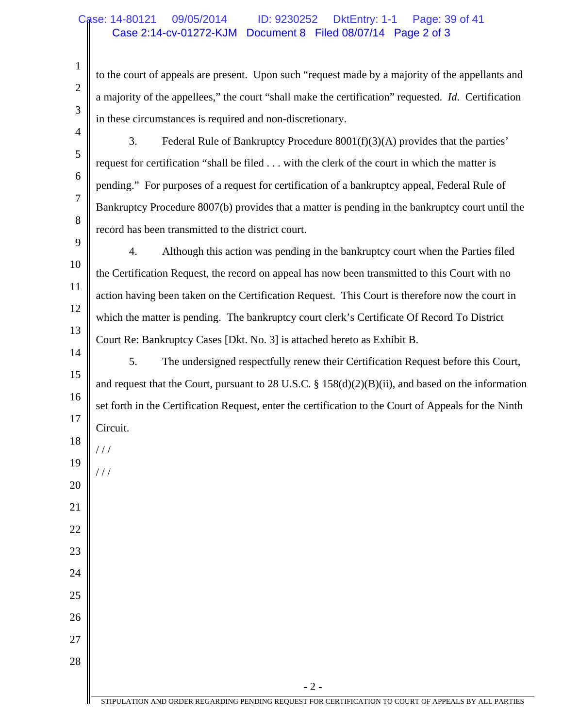#### Case 2:14-cv-01272-KJM Document 8 Filed 08/07/14 Page 2 of 3 Case: 14-80121 09/05/2014 ID: 9230252 DktEntry: 1-1 Page: 39 of 41

1

2

3

4

5

6

7

8

9

20

/ / /

21

22

23

24

25

26

27

28

to the court of appeals are present. Upon such "request made by a majority of the appellants and a majority of the appellees," the court "shall make the certification" requested. *Id*. Certification in these circumstances is required and non-discretionary.

- 3. Federal Rule of Bankruptcy Procedure 8001(f)(3)(A) provides that the parties' request for certification "shall be filed . . . with the clerk of the court in which the matter is pending." For purposes of a request for certification of a bankruptcy appeal, Federal Rule of Bankruptcy Procedure 8007(b) provides that a matter is pending in the bankruptcy court until the record has been transmitted to the district court.
- 10 11 12 13 4. Although this action was pending in the bankruptcy court when the Parties filed the Certification Request, the record on appeal has now been transmitted to this Court with no action having been taken on the Certification Request. This Court is therefore now the court in which the matter is pending. The bankruptcy court clerk's Certificate Of Record To District Court Re: Bankruptcy Cases [Dkt. No. 3] is attached hereto as Exhibit B.
- 14 15 16 17 18 19 5. The undersigned respectfully renew their Certification Request before this Court, and request that the Court, pursuant to 28 U.S.C. § 158(d)(2)(B)(ii), and based on the information set forth in the Certification Request, enter the certification to the Court of Appeals for the Ninth Circuit. / / /

- 2 -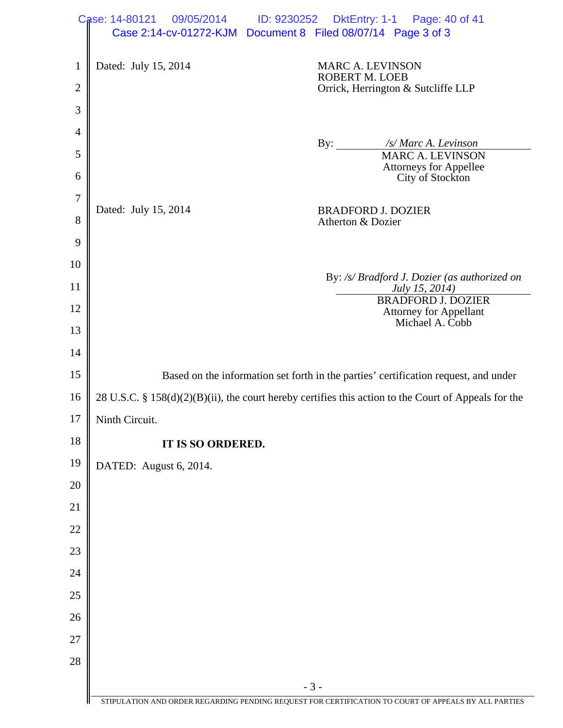|                  | Case: 14-80121<br>09/05/2014<br>ID: 9230252<br>DktEntry: 1-1 Page: 40 of 41<br>Case 2:14-cv-01272-KJM  Document 8  Filed 08/07/14  Page 3 of 3 |
|------------------|------------------------------------------------------------------------------------------------------------------------------------------------|
|                  |                                                                                                                                                |
| $\mathbf{1}$     | Dated: July 15, 2014<br><b>MARC A. LEVINSON</b><br><b>ROBERT M. LOEB</b>                                                                       |
| $\overline{2}$   | Orrick, Herrington & Sutcliffe LLP                                                                                                             |
| 3                |                                                                                                                                                |
| $\overline{4}$   | /s/ Marc A. Levinson<br>$\mathbf{By:}$                                                                                                         |
| 5                | <b>MARC A. LEVINSON</b>                                                                                                                        |
| 6                | <b>Attorneys for Appellee</b><br>City of Stockton                                                                                              |
| $\boldsymbol{7}$ | Dated: July 15, 2014<br><b>BRADFORD J. DOZIER</b>                                                                                              |
| 8                | Atherton & Dozier                                                                                                                              |
| 9                |                                                                                                                                                |
| 10               | By: /s/ Bradford J. Dozier (as authorized on                                                                                                   |
| 11               | July 15, 2014)<br><b>BRADFORD J. DOZIER</b>                                                                                                    |
| 12               | <b>Attorney for Appellant</b><br>Michael A. Cobb                                                                                               |
| 13               |                                                                                                                                                |
| 14               |                                                                                                                                                |
| 15               | Based on the information set forth in the parties' certification request, and under                                                            |
| 16               | 28 U.S.C. § 158(d)(2)(B)(ii), the court hereby certifies this action to the Court of Appeals for the                                           |
| 17               | Ninth Circuit.                                                                                                                                 |
| 18               | IT IS SO ORDERED.                                                                                                                              |
| 19               | DATED: August 6, 2014.                                                                                                                         |
| 20               |                                                                                                                                                |
| 21               |                                                                                                                                                |
| 22               |                                                                                                                                                |
| 23               |                                                                                                                                                |
| 24               |                                                                                                                                                |
| 25               |                                                                                                                                                |
| 26               |                                                                                                                                                |
| 27               |                                                                                                                                                |
| 28               |                                                                                                                                                |
|                  | $-3-$<br>STIPULATION AND ORDER REGARDING PENDING REQUEST FOR CERTIFICATION TO COURT OF APPEALS BY ALL PARTIES                                  |
|                  |                                                                                                                                                |